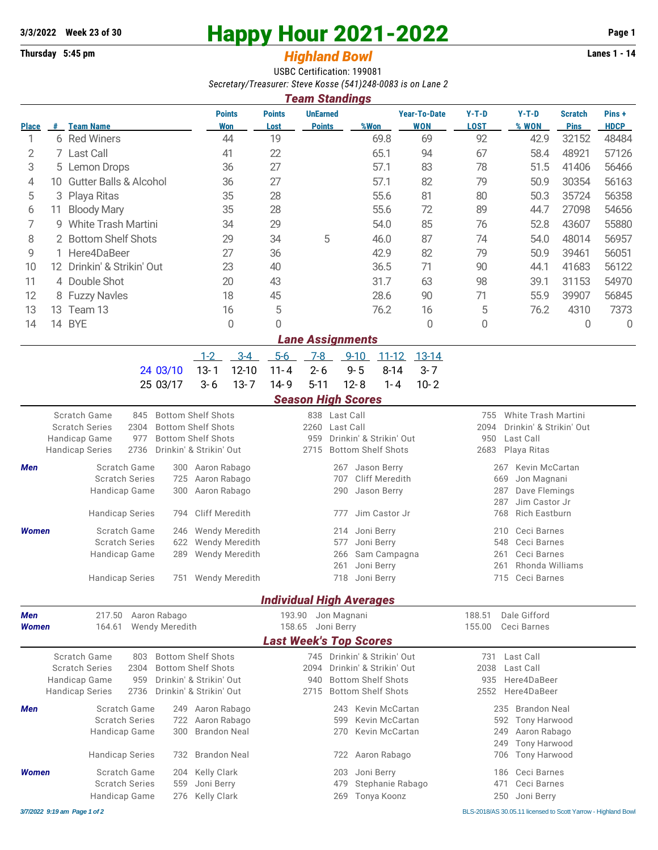# **3/3/2022** Week 23 of 30 **Happy Hour 2021-2022** Page 1<br> **Happy Hour 2021-2022** Page 1<br> **Highland Rowl**

# **Thursday 5:45 pm** *Highland Bowl*

USBC Certification: 199081 *Secretary/Treasurer: Steve Kosse (541)248-0083 is on Lane 2*

| <b>Team Standings</b> |     |                                   |                             |                       |                                  |      |                                   |                        |                  |                               |                      |  |
|-----------------------|-----|-----------------------------------|-----------------------------|-----------------------|----------------------------------|------|-----------------------------------|------------------------|------------------|-------------------------------|----------------------|--|
| <b>Place</b>          | #   | <b>Team Name</b>                  | <b>Points</b><br><b>Won</b> | <b>Points</b><br>Lost | <b>UnEarned</b><br><b>Points</b> | %Won | <b>Year-To-Date</b><br><b>WON</b> | $Y-T-D$<br><b>LOST</b> | $Y-T-D$<br>% WON | <b>Scratch</b><br><b>Pins</b> | Pins+<br><b>HDCP</b> |  |
|                       | 6   | <b>Red Winers</b>                 | 44                          | 19                    |                                  | 69.8 | 69                                | 92                     | 42.9             | 32152                         | 48484                |  |
| 2                     |     | 7 Last Call                       | 41                          | 22                    |                                  | 65.1 | 94                                | 67                     | 58.4             | 48921                         | 57126                |  |
| 3                     |     | 5 Lemon Drops                     | 36                          | 27                    |                                  | 57.1 | 83                                | 78                     | 51.5             | 41406                         | 56466                |  |
| 4                     | 10  | <b>Gutter Balls &amp; Alcohol</b> | 36                          | 27                    |                                  | 57.1 | 82                                | 79                     | 50.9             | 30354                         | 56163                |  |
| 5                     |     | 3 Playa Ritas                     | 35                          | 28                    |                                  | 55.6 | 81                                | 80                     | 50.3             | 35724                         | 56358                |  |
| 6                     | 11  | <b>Bloody Mary</b>                | 35                          | 28                    |                                  | 55.6 | 72                                | 89                     | 44.7             | 27098                         | 54656                |  |
|                       | g   | White Trash Martini               | 34                          | 29                    |                                  | 54.0 | 85                                | 76                     | 52.8             | 43607                         | 55880                |  |
| 8                     |     | 2 Bottom Shelf Shots              | 29                          | 34                    | 5                                | 46.0 | 87                                | 74                     | 54.0             | 48014                         | 56957                |  |
| 9                     |     | 1 Here4DaBeer                     | 27                          | 36                    |                                  | 42.9 | 82                                | 79                     | 50.9             | 39461                         | 56051                |  |
| 10                    | 12. | Drinkin' & Strikin' Out           | 23                          | 40                    |                                  | 36.5 | 71                                | 90                     | 44.1             | 41683                         | 56122                |  |
| 11                    |     | 4 Double Shot                     | 20                          | 43                    |                                  | 31.7 | 63                                | 98                     | 39.1             | 31153                         | 54970                |  |
| 12                    |     | 8 Fuzzy Navles                    | 18                          | 45                    |                                  | 28.6 | 90                                | 71                     | 55.9             | 39907                         | 56845                |  |
| 13                    | 13. | Team 13                           | 16                          | 5                     |                                  | 76.2 | 16                                | 5                      | 76.2             | 4310                          | 7373                 |  |
| 14                    | 14  | <b>BYE</b>                        | 0                           | $\Omega$              |                                  |      | 0                                 | 0                      |                  | 0                             | 0                    |  |
|                       |     |                                   |                             |                       | <b>Lane Assignments</b>          |      |                                   |                        |                  |                               |                      |  |

|                                           | 1-2 3-4 5-6 7-8 9-10 11-12 13-14 |  |  |  |
|-------------------------------------------|----------------------------------|--|--|--|
| 24 03/10 13-1 12-10 11-4 2-6 9-5 8-14 3-7 |                                  |  |  |  |
| 25 03/17 3-6 13-7 14-9 5-11 12-8 1-4 10-2 |                                  |  |  |  |

### *Season High Scores*

|                            |                                                                                                                |                                                                                                                              | stavon mgn stonet                                    |                                                                                                                  |                                 |                                                                                                          |
|----------------------------|----------------------------------------------------------------------------------------------------------------|------------------------------------------------------------------------------------------------------------------------------|------------------------------------------------------|------------------------------------------------------------------------------------------------------------------|---------------------------------|----------------------------------------------------------------------------------------------------------|
|                            | Scratch Game<br>845<br><b>Scratch Series</b><br>2304<br>Handicap Game<br>977<br>2736<br><b>Handicap Series</b> | <b>Bottom Shelf Shots</b><br><b>Bottom Shelf Shots</b><br><b>Bottom Shelf Shots</b><br>Drinkin' & Strikin' Out               | 838 Last Call<br>2260<br>959<br>2715                 | Last Call<br>Drinkin' & Strikin' Out<br><b>Bottom Shelf Shots</b>                                                | 755<br>2094<br>950<br>2683      | White Trash Martini<br>Drinkin' & Strikin' Out<br>Last Call<br>Playa Ritas                               |
| <b>Men</b>                 | Scratch Game<br><b>Scratch Series</b><br>Handicap Game<br><b>Handicap Series</b>                               | Aaron Rabago<br>300<br>725<br>Aaron Rabago<br>Aaron Rabago<br>300<br><b>Cliff Meredith</b><br>794                            | 267<br>707<br>290<br>777                             | Jason Berry<br>Cliff Meredith<br>Jason Berry<br>Jim Castor Jr                                                    | 267<br>669<br>287<br>287<br>768 | Kevin McCartan<br>Jon Magnani<br>Dave Flemings<br>Jim Castor Jr<br><b>Rich Eastburn</b>                  |
| <b>Women</b>               | Scratch Game<br><b>Scratch Series</b><br>Handicap Game<br><b>Handicap Series</b>                               | <b>Wendy Meredith</b><br>246<br><b>Wendy Meredith</b><br>622<br><b>Wendy Meredith</b><br>289<br><b>Wendy Meredith</b><br>751 | 214<br>577<br>266<br>261<br>718                      | Joni Berry<br>Joni Berry<br>Sam Campagna<br>Joni Berry<br>Joni Berry                                             | 210<br>548<br>261<br>261<br>715 | Ceci Barnes<br>Ceci Barnes<br>Ceci Barnes<br>Rhonda Williams<br>Ceci Barnes                              |
|                            |                                                                                                                |                                                                                                                              | <b>Individual High Averages</b>                      |                                                                                                                  |                                 |                                                                                                          |
| <b>Men</b><br><b>Women</b> | 217.50<br>164.61                                                                                               | Aaron Rabago<br><b>Wendy Meredith</b>                                                                                        | 193.90<br>Jon Magnani<br>158.65<br>Joni Berry        |                                                                                                                  | 188.51<br>155.00                | Dale Gifford<br>Ceci Barnes                                                                              |
|                            | Scratch Game<br>803<br><b>Scratch Series</b><br>2304<br>Handicap Game<br>959<br>2736<br><b>Handicap Series</b> | <b>Bottom Shelf Shots</b><br><b>Bottom Shelf Shots</b><br>Drinkin' & Strikin' Out<br>Drinkin' & Strikin' Out                 | <b>Last Week's Top Scores</b><br>2094<br>940<br>2715 | 745 Drinkin' & Strikin' Out<br>Drinkin' & Strikin' Out<br><b>Bottom Shelf Shots</b><br><b>Bottom Shelf Shots</b> | 731<br>2038<br>935<br>2552      | Last Call<br>Last Call<br>Here4DaBeer<br>Here4DaBeer                                                     |
| <b>Men</b>                 | Scratch Game<br><b>Scratch Series</b><br>Handicap Game<br><b>Handicap Series</b>                               | Aaron Rabago<br>249<br>Aaron Rabago<br>722<br>300<br><b>Brandon Neal</b><br><b>Brandon Neal</b><br>732                       | 243<br>599<br>270<br>722                             | Kevin McCartan<br>Kevin McCartan<br>Kevin McCartan<br>Aaron Rabago                                               | 235<br>592<br>249<br>249<br>706 | <b>Brandon Neal</b><br><b>Tony Harwood</b><br>Aaron Rabago<br><b>Tony Harwood</b><br><b>Tony Harwood</b> |
| <b>Women</b>               | Scratch Game<br><b>Scratch Series</b><br>Handicap Game                                                         | Kelly Clark<br>204<br>Joni Berry<br>559<br><b>Kelly Clark</b><br>276                                                         | 203<br>479<br>269                                    | Joni Berry<br>Stephanie Rabago<br>Tonya Koonz                                                                    | 186<br>471<br>250               | Ceci Barnes<br>Ceci Barnes<br>Joni Berry                                                                 |

*3/7/2022 9:19 am Page 1 of 2* BLS-2018/AS 30.05.11 licensed to Scott Yarrow - Highland Bowl